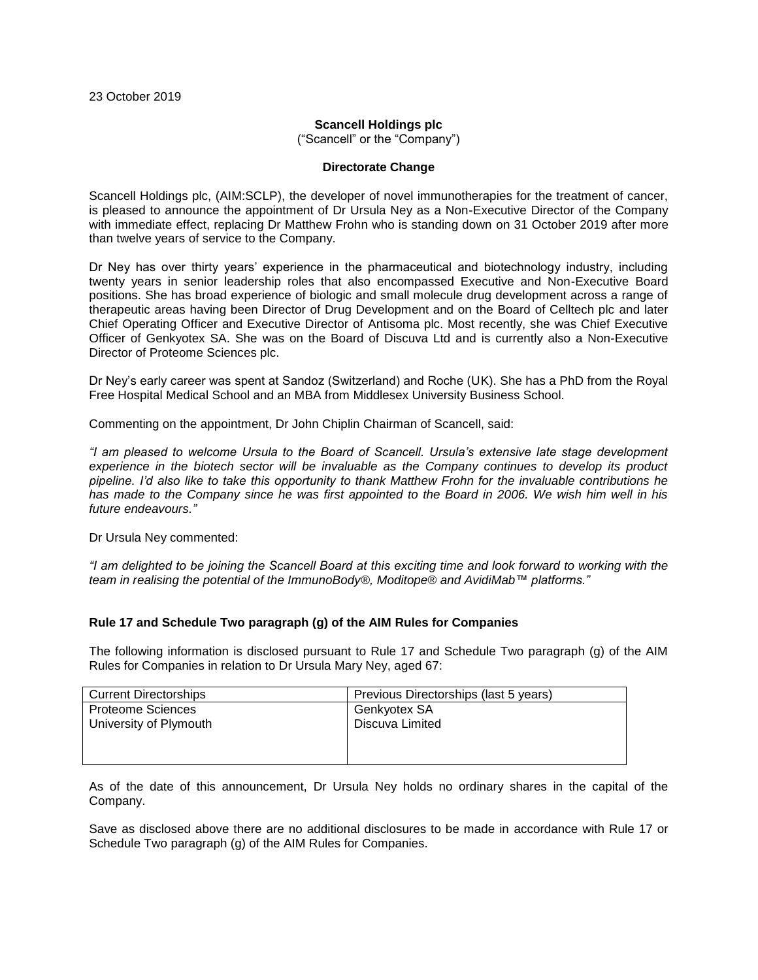## **Scancell Holdings plc**

("Scancell" or the "Company")

### **Directorate Change**

Scancell Holdings plc, (AIM:SCLP), the developer of novel immunotherapies for the treatment of cancer, is pleased to announce the appointment of Dr Ursula Ney as a Non-Executive Director of the Company with immediate effect, replacing Dr Matthew Frohn who is standing down on 31 October 2019 after more than twelve years of service to the Company.

Dr Ney has over thirty years' experience in the pharmaceutical and biotechnology industry, including twenty years in senior leadership roles that also encompassed Executive and Non-Executive Board positions. She has broad experience of biologic and small molecule drug development across a range of therapeutic areas having been Director of Drug Development and on the Board of Celltech plc and later Chief Operating Officer and Executive Director of Antisoma plc. Most recently, she was Chief Executive Officer of Genkyotex SA. She was on the Board of Discuva Ltd and is currently also a Non-Executive Director of Proteome Sciences plc.

Dr Ney's early career was spent at Sandoz (Switzerland) and Roche (UK). She has a PhD from the Royal Free Hospital Medical School and an MBA from Middlesex University Business School.

Commenting on the appointment, Dr John Chiplin Chairman of Scancell, said:

*"I am pleased to welcome Ursula to the Board of Scancell. Ursula's extensive late stage development experience in the biotech sector will be invaluable as the Company continues to develop its product pipeline. I'd also like to take this opportunity to thank Matthew Frohn for the invaluable contributions he has made to the Company since he was first appointed to the Board in 2006. We wish him well in his future endeavours."*

Dr Ursula Ney commented:

*"I am delighted to be joining the Scancell Board at this exciting time and look forward to working with the team in realising the potential of the ImmunoBody®, Moditope*® *and AvidiMab™ platforms."*

# **Rule 17 and Schedule Two paragraph (g) of the AIM Rules for Companies**

The following information is disclosed pursuant to Rule 17 and Schedule Two paragraph (g) of the AIM Rules for Companies in relation to Dr Ursula Mary Ney, aged 67:

| <b>Current Directorships</b> | Previous Directorships (last 5 years) |
|------------------------------|---------------------------------------|
| Proteome Sciences            | Genkyotex SA                          |
| University of Plymouth       | Discuva Limited                       |
|                              |                                       |
|                              |                                       |

As of the date of this announcement, Dr Ursula Ney holds no ordinary shares in the capital of the Company.

Save as disclosed above there are no additional disclosures to be made in accordance with Rule 17 or Schedule Two paragraph (g) of the AIM Rules for Companies.